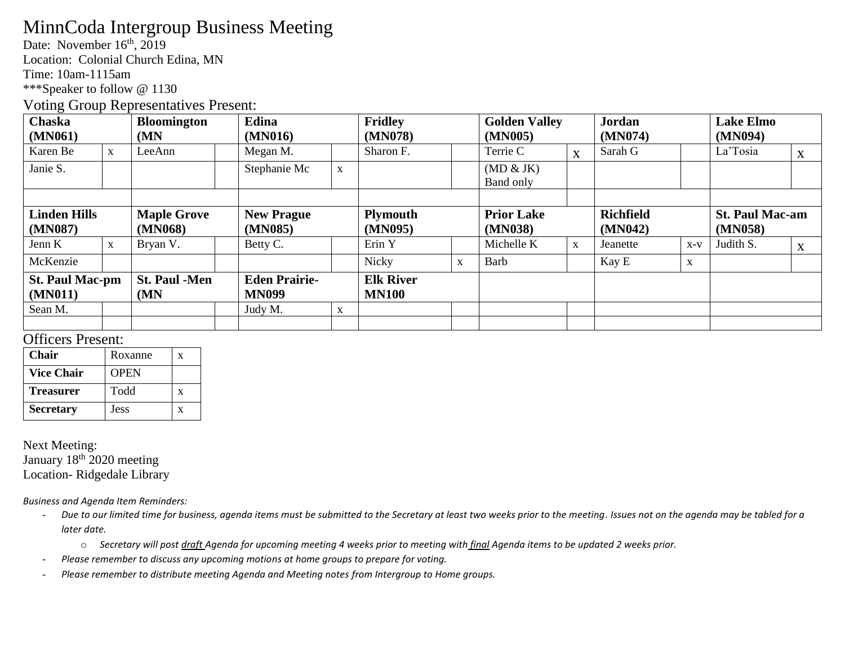# MinnCoda Intergroup Business Meeting

Date: November 16<sup>th</sup>, 2019

Location: Colonial Church Edina, MN

Time: 10am-1115am

\*\*\*Speaker to follow @ 1130

#### Voting Group Representatives Present:

| Chaska<br>(MN061)                 |              | <b>Bloomington</b><br>(MN)    |  | Edina<br>(MN016)                     |             | <b>Fridley</b><br>(MN078)        |   | <b>Golden Valley</b><br>(MN005) |              | Jordan<br>(MN074)           |             | <b>Lake Elmo</b><br>(MN094)       |   |
|-----------------------------------|--------------|-------------------------------|--|--------------------------------------|-------------|----------------------------------|---|---------------------------------|--------------|-----------------------------|-------------|-----------------------------------|---|
| Karen Be                          | $\mathbf{X}$ | LeeAnn                        |  | Megan M.                             |             | Sharon F.                        |   | Terrie C                        | X            | Sarah G                     |             | La'Tosia                          | X |
| Janie S.                          |              |                               |  | Stephanie Mc                         | X           |                                  |   | (MD & JK)<br>Band only          |              |                             |             |                                   |   |
|                                   |              |                               |  |                                      |             |                                  |   |                                 |              |                             |             |                                   |   |
| <b>Linden Hills</b><br>(MN087)    |              | <b>Maple Grove</b><br>(MN068) |  | <b>New Prague</b><br>(MN085)         |             | <b>Plymouth</b><br>(MN095)       |   | <b>Prior Lake</b><br>(MN038)    |              | <b>Richfield</b><br>(MN042) |             | <b>St. Paul Mac-am</b><br>(MN058) |   |
| Jenn K                            | $\mathbf{X}$ | Bryan V.                      |  | Betty C.                             |             | Erin Y                           |   | Michelle K                      | $\mathbf{X}$ | Jeanette                    | $X-V$       | Judith S.                         | X |
| McKenzie                          |              |                               |  |                                      |             | Nicky                            | X | Barb                            |              | Kay E                       | $\mathbf X$ |                                   |   |
| <b>St. Paul Mac-pm</b><br>(MN011) |              | <b>St. Paul -Men</b><br>(MN)  |  | <b>Eden Prairie-</b><br><b>MN099</b> |             | <b>Elk River</b><br><b>MN100</b> |   |                                 |              |                             |             |                                   |   |
| Sean M.                           |              |                               |  | Judy M.                              | $\mathbf X$ |                                  |   |                                 |              |                             |             |                                   |   |
|                                   |              |                               |  |                                      |             |                                  |   |                                 |              |                             |             |                                   |   |

### Officers Present:

| <b>Chair</b>      | Roxanne     | x |
|-------------------|-------------|---|
| <b>Vice Chair</b> | <b>OPEN</b> |   |
| <b>Treasurer</b>  | Todd        | X |
| <b>Secretary</b>  | Jess        | x |

Next Meeting: January 18<sup>th</sup> 2020 meeting Location- Ridgedale Library

*Business and Agenda Item Reminders:*

- *Due to our limited time for business, agenda items must be submitted to the Secretary at least two weeks prior to the meeting. Issues not on the agenda may be tabled for a later date.* 
	- o *Secretary will post draft Agenda for upcoming meeting 4 weeks prior to meeting with final Agenda items to be updated 2 weeks prior.*
- *Please remember to discuss any upcoming motions at home groups to prepare for voting.*
- *Please remember to distribute meeting Agenda and Meeting notes from Intergroup to Home groups.*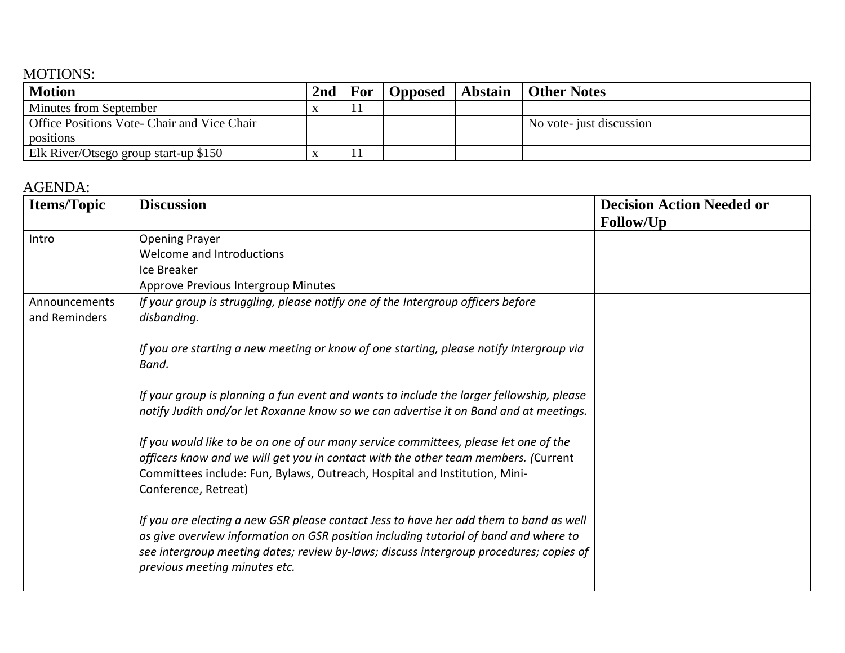## MOTIONS:

| Motion                                      | 2 <sub>nd</sub> | <b>For</b> |  | Opposed   Abstain   Other Notes |
|---------------------------------------------|-----------------|------------|--|---------------------------------|
| <b>Minutes from September</b>               |                 |            |  |                                 |
| Office Positions Vote- Chair and Vice Chair |                 |            |  | No vote- just discussion        |
| positions                                   |                 |            |  |                                 |
| Elk River/Otsego group start-up \$150       |                 |            |  |                                 |

## AGENDA:

| <b>Items/Topic</b>             | <b>Discussion</b>                                                                                                                                                                                                                                                                                         | <b>Decision Action Needed or</b> |  |
|--------------------------------|-----------------------------------------------------------------------------------------------------------------------------------------------------------------------------------------------------------------------------------------------------------------------------------------------------------|----------------------------------|--|
|                                |                                                                                                                                                                                                                                                                                                           | <b>Follow/Up</b>                 |  |
| Intro                          | <b>Opening Prayer</b>                                                                                                                                                                                                                                                                                     |                                  |  |
|                                | Welcome and Introductions                                                                                                                                                                                                                                                                                 |                                  |  |
|                                | Ice Breaker                                                                                                                                                                                                                                                                                               |                                  |  |
|                                | Approve Previous Intergroup Minutes                                                                                                                                                                                                                                                                       |                                  |  |
| Announcements<br>and Reminders | If your group is struggling, please notify one of the Intergroup officers before<br>disbanding.                                                                                                                                                                                                           |                                  |  |
|                                | If you are starting a new meeting or know of one starting, please notify Intergroup via<br>Band.                                                                                                                                                                                                          |                                  |  |
|                                | If your group is planning a fun event and wants to include the larger fellowship, please<br>notify Judith and/or let Roxanne know so we can advertise it on Band and at meetings.                                                                                                                         |                                  |  |
|                                | If you would like to be on one of our many service committees, please let one of the<br>officers know and we will get you in contact with the other team members. (Current<br>Committees include: Fun, Bylaws, Outreach, Hospital and Institution, Mini-<br>Conference, Retreat)                          |                                  |  |
|                                | If you are electing a new GSR please contact Jess to have her add them to band as well<br>as give overview information on GSR position including tutorial of band and where to<br>see intergroup meeting dates; review by-laws; discuss intergroup procedures; copies of<br>previous meeting minutes etc. |                                  |  |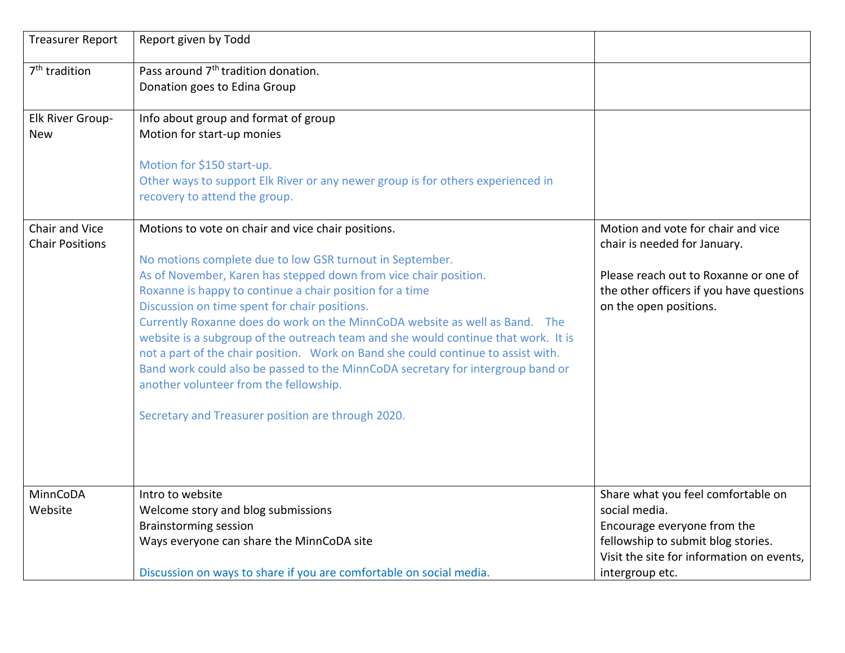| <b>Treasurer Report</b>                  | Report given by Todd                                                                                      |                                                                    |
|------------------------------------------|-----------------------------------------------------------------------------------------------------------|--------------------------------------------------------------------|
| 7 <sup>th</sup> tradition                | Pass around 7 <sup>th</sup> tradition donation.                                                           |                                                                    |
|                                          | Donation goes to Edina Group                                                                              |                                                                    |
| Elk River Group-                         | Info about group and format of group                                                                      |                                                                    |
| <b>New</b>                               | Motion for start-up monies                                                                                |                                                                    |
|                                          | Motion for \$150 start-up.                                                                                |                                                                    |
|                                          | Other ways to support Elk River or any newer group is for others experienced in                           |                                                                    |
|                                          | recovery to attend the group.                                                                             |                                                                    |
| Chair and Vice<br><b>Chair Positions</b> | Motions to vote on chair and vice chair positions.                                                        | Motion and vote for chair and vice<br>chair is needed for January. |
|                                          | No motions complete due to low GSR turnout in September.                                                  |                                                                    |
|                                          | As of November, Karen has stepped down from vice chair position.                                          | Please reach out to Roxanne or one of                              |
|                                          | Roxanne is happy to continue a chair position for a time<br>Discussion on time spent for chair positions. | the other officers if you have questions<br>on the open positions. |
|                                          | Currently Roxanne does do work on the MinnCoDA website as well as Band. The                               |                                                                    |
|                                          | website is a subgroup of the outreach team and she would continue that work. It is                        |                                                                    |
|                                          | not a part of the chair position. Work on Band she could continue to assist with.                         |                                                                    |
|                                          | Band work could also be passed to the MinnCoDA secretary for intergroup band or                           |                                                                    |
|                                          | another volunteer from the fellowship.                                                                    |                                                                    |
|                                          | Secretary and Treasurer position are through 2020.                                                        |                                                                    |
|                                          |                                                                                                           |                                                                    |
|                                          |                                                                                                           |                                                                    |
| MinnCoDA                                 | Intro to website                                                                                          | Share what you feel comfortable on                                 |
| Website                                  | Welcome story and blog submissions                                                                        | social media.                                                      |
|                                          | <b>Brainstorming session</b>                                                                              | Encourage everyone from the                                        |
|                                          | Ways everyone can share the MinnCoDA site                                                                 | fellowship to submit blog stories.                                 |
|                                          |                                                                                                           | Visit the site for information on events,                          |
|                                          | Discussion on ways to share if you are comfortable on social media.                                       | intergroup etc.                                                    |